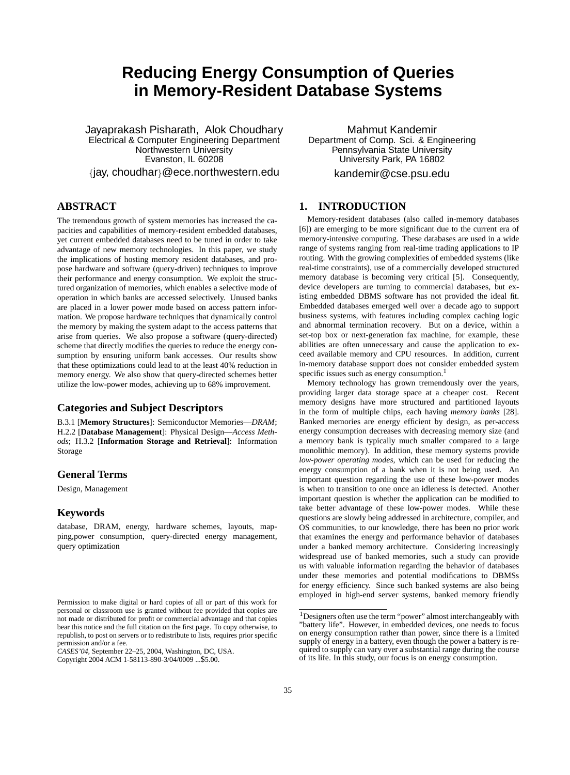# **Reducing Energy Consumption of Queries in Memory-Resident Database Systems**

Jayaprakash Pisharath, Alok Choudhary Electrical & Computer Engineering Department Northwestern University Evanston, IL 60208 {jay, choudhar}@ece.northwestern.edu

# **ABSTRACT**

The tremendous growth of system memories has increased the capacities and capabilities of memory-resident embedded databases, yet current embedded databases need to be tuned in order to take advantage of new memory technologies. In this paper, we study the implications of hosting memory resident databases, and propose hardware and software (query-driven) techniques to improve their performance and energy consumption. We exploit the structured organization of memories, which enables a selective mode of operation in which banks are accessed selectively. Unused banks are placed in a lower power mode based on access pattern information. We propose hardware techniques that dynamically control the memory by making the system adapt to the access patterns that arise from queries. We also propose a software (query-directed) scheme that directly modifies the queries to reduce the energy consumption by ensuring uniform bank accesses. Our results show that these optimizations could lead to at the least 40% reduction in memory energy. We also show that query-directed schemes better utilize the low-power modes, achieving up to 68% improvement.

## **Categories and Subject Descriptors**

B.3.1 [**Memory Structures**]: Semiconductor Memories—*DRAM*; H.2.2 [**Database Management**]: Physical Design—*Access Methods*; H.3.2 [**Information Storage and Retrieval**]: Information Storage

## **General Terms**

Design, Management

## **Keywords**

database, DRAM, energy, hardware schemes, layouts, mapping,power consumption, query-directed energy management, query optimization

Copyright 2004 ACM 1-58113-890-3/04/0009 ...\$5.00.

Mahmut Kandemir Department of Comp. Sci. & Engineering Pennsylvania State University University Park, PA 16802 kandemir@cse.psu.edu

# **1. INTRODUCTION**

Memory-resident databases (also called in-memory databases [6]) are emerging to be more significant due to the current era of memory-intensive computing. These databases are used in a wide range of systems ranging from real-time trading applications to IP routing. With the growing complexities of embedded systems (like real-time constraints), use of a commercially developed structured memory database is becoming very critical [5]. Consequently, device developers are turning to commercial databases, but existing embedded DBMS software has not provided the ideal fit. Embedded databases emerged well over a decade ago to support business systems, with features including complex caching logic and abnormal termination recovery. But on a device, within a set-top box or next-generation fax machine, for example, these abilities are often unnecessary and cause the application to exceed available memory and CPU resources. In addition, current in-memory database support does not consider embedded system specific issues such as energy consumption.<sup>1</sup>

Memory technology has grown tremendously over the years, providing larger data storage space at a cheaper cost. Recent memory designs have more structured and partitioned layouts in the form of multiple chips, each having *memory banks* [28]. Banked memories are energy efficient by design, as per-access energy consumption decreases with decreasing memory size (and a memory bank is typically much smaller compared to a large monolithic memory). In addition, these memory systems provide *low-power operating modes,* which can be used for reducing the energy consumption of a bank when it is not being used. An important question regarding the use of these low-power modes is when to transition to one once an idleness is detected. Another important question is whether the application can be modified to take better advantage of these low-power modes. While these questions are slowly being addressed in architecture, compiler, and OS communities, to our knowledge, there has been no prior work that examines the energy and performance behavior of databases under a banked memory architecture. Considering increasingly widespread use of banked memories, such a study can provide us with valuable information regarding the behavior of databases under these memories and potential modifications to DBMSs for energy efficiency. Since such banked systems are also being employed in high-end server systems, banked memory friendly

Permission to make digital or hard copies of all or part of this work for personal or classroom use is granted without fee provided that copies are not made or distributed for profit or commercial advantage and that copies bear this notice and the full citation on the first page. To copy otherwise, to republish, to post on servers or to redistribute to lists, requires prior specific permission and/or a fee.

*CASES'04,* September 22–25, 2004, Washington, DC, USA.

<sup>1</sup>Designers often use the term "power" almost interchangeably with "battery life". However, in embedded devices, one needs to focus on energy consumption rather than power, since there is a limited supply of energy in a battery, even though the power a battery is required to supply can vary over a substantial range during the course of its life. In this study, our focus is on energy consumption.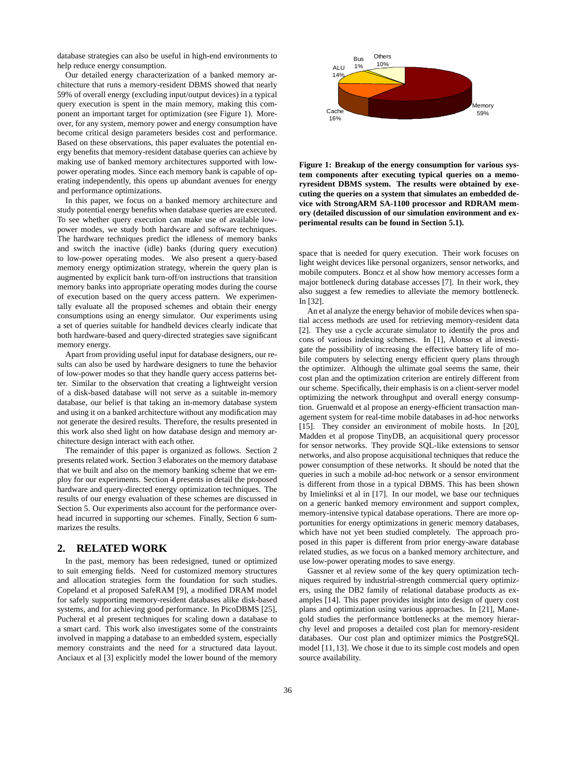database strategies can also be useful in high-end environments to help reduce energy consumption.

Our detailed energy characterization of a banked memory architecture that runs a memory-resident DBMS showed that nearly 59% of overall energy (excluding input/output devices) in a typical query execution is spent in the main memory, making this component an important target for optimization (see Figure 1). Moreover, for any system, memory power and energy consumption have become critical design parameters besides cost and performance. Based on these observations, this paper evaluates the potential energy benefits that memory-resident database queries can achieve by making use of banked memory architectures supported with lowpower operating modes. Since each memory bank is capable of operating independently, this opens up abundant avenues for energy and performance optimizations.

In this paper, we focus on a banked memory architecture and study potential energy benefits when database queries are executed. To see whether query execution can make use of available lowpower modes, we study both hardware and software techniques. The hardware techniques predict the idleness of memory banks and switch the inactive (idle) banks (during query execution) to low-power operating modes. We also present a query-based memory energy optimization strategy, wherein the query plan is augmented by explicit bank turn-off/on instructions that transition memory banks into appropriate operating modes during the course of execution based on the query access pattern. We experimentally evaluate all the proposed schemes and obtain their energy consumptions using an energy simulator. Our experiments using a set of queries suitable for handheld devices clearly indicate that both hardware-based and query-directed strategies save significant memory energy.

Apart from providing useful input for database designers, our results can also be used by hardware designers to tune the behavior of low-power modes so that they handle query access patterns better. Similar to the observation that creating a lightweight version of a disk-based database will not serve as a suitable in-memory database, our belief is that taking an in-memory database system and using it on a banked architecture without any modification may not generate the desired results. Therefore, the results presented in this work also shed light on how database design and memory architecture design interact with each other.

The remainder of this paper is organized as follows. Section 2 presents related work. Section 3 elaborates on the memory database that we built and also on the memory banking scheme that we employ for our experiments. Section 4 presents in detail the proposed hardware and query-directed energy optimization techniques. The results of our energy evaluation of these schemes are discussed in Section 5. Our experiments also account for the performance overhead incurred in supporting our schemes. Finally, Section 6 summarizes the results.

## **2. RELATED WORK**

In the past, memory has been redesigned, tuned or optimized to suit emerging fields. Need for customized memory structures and allocation strategies form the foundation for such studies. Copeland et al proposed SafeRAM [9], a modified DRAM model for safely supporting memory-resident databases alike disk-based systems, and for achieving good performance. In PicoDBMS [25], Pucheral et al present techniques for scaling down a database to a smart card. This work also investigates some of the constraints involved in mapping a database to an embedded system, especially memory constraints and the need for a structured data layout. Anciaux et al [3] explicitly model the lower bound of the memory



**Figure 1: Breakup of the energy consumption for various system components after executing typical queries on a memoryresident DBMS system. The results were obtained by executing the queries on a system that simulates an embedded device with StrongARM SA-1100 processor and RDRAM memory (detailed discussion of our simulation environment and experimental results can be found in Section 5.1).**

space that is needed for query execution. Their work focuses on light weight devices like personal organizers, sensor networks, and mobile computers. Boncz et al show how memory accesses form a major bottleneck during database accesses [7]. In their work, they also suggest a few remedies to alleviate the memory bottleneck. In [32].

An et al analyze the energy behavior of mobile devices when spatial access methods are used for retrieving memory-resident data [2]. They use a cycle accurate simulator to identify the pros and cons of various indexing schemes. In [1], Alonso et al investigate the possibility of increasing the effective battery life of mobile computers by selecting energy efficient query plans through the optimizer. Although the ultimate goal seems the same, their cost plan and the optimization criterion are entirely different from our scheme. Specifically, their emphasis is on a client-server model optimizing the network throughput and overall energy consumption. Gruenwald et al propose an energy-efficient transaction management system for real-time mobile databases in ad-hoc networks [15]. They consider an environment of mobile hosts. In [20], Madden et al propose TinyDB, an acquisitional query processor for sensor networks. They provide SQL-like extensions to sensor networks, and also propose acquisitional techniques that reduce the power consumption of these networks. It should be noted that the queries in such a mobile ad-hoc network or a sensor environment is different from those in a typical DBMS. This has been shown by Imielinksi et al in [17]. In our model, we base our techniques on a generic banked memory environment and support complex, memory-intensive typical database operations. There are more opportunities for energy optimizations in generic memory databases, which have not yet been studied completely. The approach proposed in this paper is different from prior energy-aware database related studies, as we focus on a banked memory architecture, and use low-power operating modes to save energy.

Gassner et al review some of the key query optimization techniques required by industrial-strength commercial query optimizers, using the DB2 family of relational database products as examples [14]. This paper provides insight into design of query cost plans and optimization using various approaches. In [21], Manegold studies the performance bottlenecks at the memory hierarchy level and proposes a detailed cost plan for memory-resident databases. Our cost plan and optimizer mimics the PostgreSQL model [11,13]. We chose it due to its simple cost models and open source availability.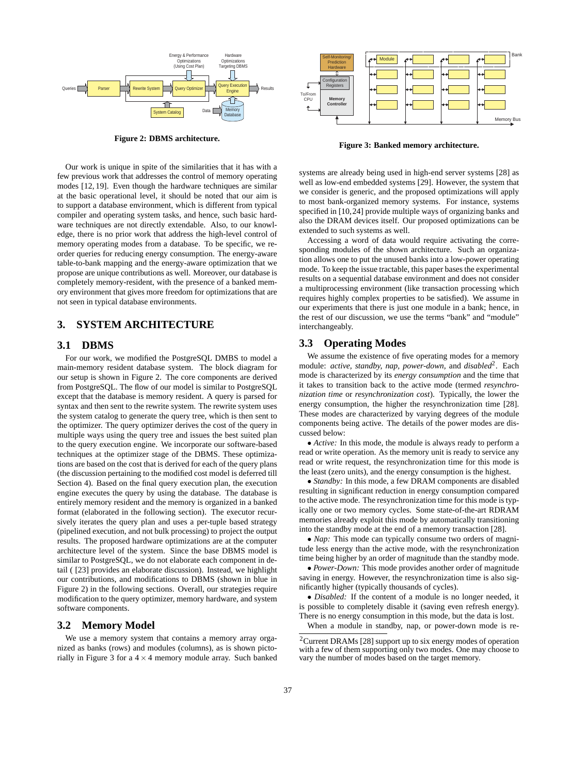

**Figure 2: DBMS architecture.**

Our work is unique in spite of the similarities that it has with a few previous work that addresses the control of memory operating modes [12, 19]. Even though the hardware techniques are similar at the basic operational level, it should be noted that our aim is to support a database environment, which is different from typical compiler and operating system tasks, and hence, such basic hardware techniques are not directly extendable. Also, to our knowledge, there is no prior work that address the high-level control of memory operating modes from a database. To be specific, we reorder queries for reducing energy consumption. The energy-aware table-to-bank mapping and the energy-aware optimization that we propose are unique contributions as well. Moreover, our database is completely memory-resident, with the presence of a banked memory environment that gives more freedom for optimizations that are not seen in typical database environments.

# **3. SYSTEM ARCHITECTURE**

#### **3.1 DBMS**

For our work, we modified the PostgreSQL DMBS to model a main-memory resident database system. The block diagram for our setup is shown in Figure 2. The core components are derived from PostgreSQL. The flow of our model is similar to PostgreSQL except that the database is memory resident. A query is parsed for syntax and then sent to the rewrite system. The rewrite system uses the system catalog to generate the query tree, which is then sent to the optimizer. The query optimizer derives the cost of the query in multiple ways using the query tree and issues the best suited plan to the query execution engine. We incorporate our software-based techniques at the optimizer stage of the DBMS. These optimizations are based on the cost that is derived for each of the query plans (the discussion pertaining to the modified cost model is deferred till Section 4). Based on the final query execution plan, the execution engine executes the query by using the database. The database is entirely memory resident and the memory is organized in a banked format (elaborated in the following section). The executor recursively iterates the query plan and uses a per-tuple based strategy (pipelined execution, and not bulk processing) to project the output results. The proposed hardware optimizations are at the computer architecture level of the system. Since the base DBMS model is similar to PostgreSQL, we do not elaborate each component in detail ( [23] provides an elaborate discussion). Instead, we highlight our contributions, and modifications to DBMS (shown in blue in Figure 2) in the following sections. Overall, our strategies require modification to the query optimizer, memory hardware, and system software components.

### **3.2 Memory Model**

We use a memory system that contains a memory array organized as banks (rows) and modules (columns), as is shown pictorially in Figure 3 for a  $4 \times 4$  memory module array. Such banked



**Figure 3: Banked memory architecture.**

systems are already being used in high-end server systems [28] as well as low-end embedded systems [29]. However, the system that we consider is generic, and the proposed optimizations will apply to most bank-organized memory systems. For instance, systems specified in [10,24] provide multiple ways of organizing banks and also the DRAM devices itself. Our proposed optimizations can be extended to such systems as well.

Accessing a word of data would require activating the corresponding modules of the shown architecture. Such an organization allows one to put the unused banks into a low-power operating mode. To keep the issue tractable, this paper bases the experimental results on a sequential database environment and does not consider a multiprocessing environment (like transaction processing which requires highly complex properties to be satisfied). We assume in our experiments that there is just one module in a bank; hence, in the rest of our discussion, we use the terms "bank" and "module" interchangeably.

### **3.3 Operating Modes**

We assume the existence of five operating modes for a memory module: *active, standby, nap, power-down,* and *disabled*<sup>2</sup> . Each mode is characterized by its *energy consumption* and the time that it takes to transition back to the active mode (termed *resynchronization time* or *resynchronization cost*). Typically, the lower the energy consumption, the higher the resynchronization time [28]. These modes are characterized by varying degrees of the module components being active. The details of the power modes are discussed below:

• *Active:* In this mode, the module is always ready to perform a read or write operation. As the memory unit is ready to service any read or write request, the resynchronization time for this mode is the least (zero units), and the energy consumption is the highest.

• *Standby:* In this mode, a few DRAM components are disabled resulting in significant reduction in energy consumption compared to the active mode. The resynchronization time for this mode is typically one or two memory cycles. Some state-of-the-art RDRAM memories already exploit this mode by automatically transitioning into the standby mode at the end of a memory transaction [28].

• *Nap:* This mode can typically consume two orders of magnitude less energy than the active mode, with the resynchronization time being higher by an order of magnitude than the standby mode.

• *Power-Down:* This mode provides another order of magnitude saving in energy. However, the resynchronization time is also significantly higher (typically thousands of cycles).

• *Disabled:* If the content of a module is no longer needed, it is possible to completely disable it (saving even refresh energy). There is no energy consumption in this mode, but the data is lost.

When a module in standby, nap, or power-down mode is re-

<sup>&</sup>lt;sup>2</sup>Current DRAMs [28] support up to six energy modes of operation with a few of them supporting only two modes. One may choose to vary the number of modes based on the target memory.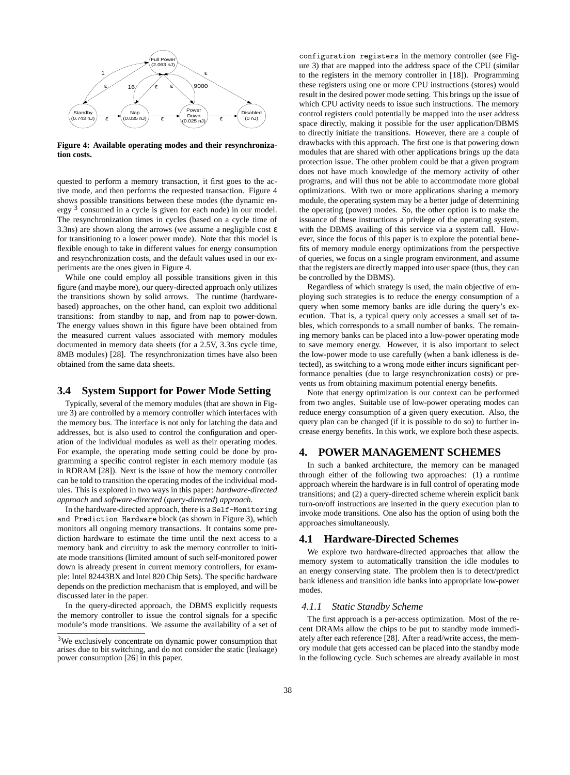

**Figure 4: Available operating modes and their resynchronization costs.**

quested to perform a memory transaction, it first goes to the active mode, and then performs the requested transaction. Figure 4 shows possible transitions between these modes (the dynamic energy  $3$  consumed in a cycle is given for each node) in our model. The resynchronization times in cycles (based on a cycle time of 3.3ns) are shown along the arrows (we assume a negligible cost  $\varepsilon$ for transitioning to a lower power mode). Note that this model is flexible enough to take in different values for energy consumption and resynchronization costs, and the default values used in our experiments are the ones given in Figure 4.

While one could employ all possible transitions given in this figure (and maybe more), our query-directed approach only utilizes the transitions shown by solid arrows. The runtime (hardwarebased) approaches, on the other hand, can exploit two additional transitions: from standby to nap, and from nap to power-down. The energy values shown in this figure have been obtained from the measured current values associated with memory modules documented in memory data sheets (for a 2.5V, 3.3ns cycle time, 8MB modules) [28]. The resynchronization times have also been obtained from the same data sheets.

#### **3.4 System Support for Power Mode Setting**

Typically, several of the memory modules (that are shown in Figure 3) are controlled by a memory controller which interfaces with the memory bus. The interface is not only for latching the data and addresses, but is also used to control the configuration and operation of the individual modules as well as their operating modes. For example, the operating mode setting could be done by programming a specific control register in each memory module (as in RDRAM [28]). Next is the issue of how the memory controller can be told to transition the operating modes of the individual modules. This is explored in two ways in this paper: *hardware-directed approach* and *software-directed* (*query-directed*) *approach.*

In the hardware-directed approach, there is a Self-Monitoring and Prediction Hardware block (as shown in Figure 3), which monitors all ongoing memory transactions. It contains some prediction hardware to estimate the time until the next access to a memory bank and circuitry to ask the memory controller to initiate mode transitions (limited amount of such self-monitored power down is already present in current memory controllers, for example: Intel 82443BX and Intel 820 Chip Sets). The specific hardware depends on the prediction mechanism that is employed, and will be discussed later in the paper.

In the query-directed approach, the DBMS explicitly requests the memory controller to issue the control signals for a specific module's mode transitions. We assume the availability of a set of configuration registers in the memory controller (see Figure 3) that are mapped into the address space of the CPU (similar to the registers in the memory controller in [18]). Programming these registers using one or more CPU instructions (stores) would result in the desired power mode setting. This brings up the issue of which CPU activity needs to issue such instructions. The memory control registers could potentially be mapped into the user address space directly, making it possible for the user application/DBMS to directly initiate the transitions. However, there are a couple of drawbacks with this approach. The first one is that powering down modules that are shared with other applications brings up the data protection issue. The other problem could be that a given program does not have much knowledge of the memory activity of other programs, and will thus not be able to accommodate more global optimizations. With two or more applications sharing a memory module, the operating system may be a better judge of determining the operating (power) modes. So, the other option is to make the issuance of these instructions a privilege of the operating system, with the DBMS availing of this service via a system call. However, since the focus of this paper is to explore the potential benefits of memory module energy optimizations from the perspective of queries, we focus on a single program environment, and assume that the registers are directly mapped into user space (thus, they can be controlled by the DBMS).

Regardless of which strategy is used, the main objective of employing such strategies is to reduce the energy consumption of a query when some memory banks are idle during the query's execution. That is, a typical query only accesses a small set of tables, which corresponds to a small number of banks. The remaining memory banks can be placed into a low-power operating mode to save memory energy. However, it is also important to select the low-power mode to use carefully (when a bank idleness is detected), as switching to a wrong mode either incurs significant performance penalties (due to large resynchronization costs) or prevents us from obtaining maximum potential energy benefits.

Note that energy optimization is our context can be performed from two angles. Suitable use of low-power operating modes can reduce energy consumption of a given query execution. Also, the query plan can be changed (if it is possible to do so) to further increase energy benefits. In this work, we explore both these aspects.

## **4. POWER MANAGEMENT SCHEMES**

In such a banked architecture, the memory can be managed through either of the following two approaches: (1) a runtime approach wherein the hardware is in full control of operating mode transitions; and (2) a query-directed scheme wherein explicit bank turn-on/off instructions are inserted in the query execution plan to invoke mode transitions. One also has the option of using both the approaches simultaneously.

#### **4.1 Hardware-Directed Schemes**

We explore two hardware-directed approaches that allow the memory system to automatically transition the idle modules to an energy conserving state. The problem then is to detect/predict bank idleness and transition idle banks into appropriate low-power modes.

#### *4.1.1 Static Standby Scheme*

The first approach is a per-access optimization. Most of the recent DRAMs allow the chips to be put to standby mode immediately after each reference [28]. After a read/write access, the memory module that gets accessed can be placed into the standby mode in the following cycle. Such schemes are already available in most

<sup>3</sup>We exclusively concentrate on dynamic power consumption that arises due to bit switching, and do not consider the static (leakage) power consumption [26] in this paper.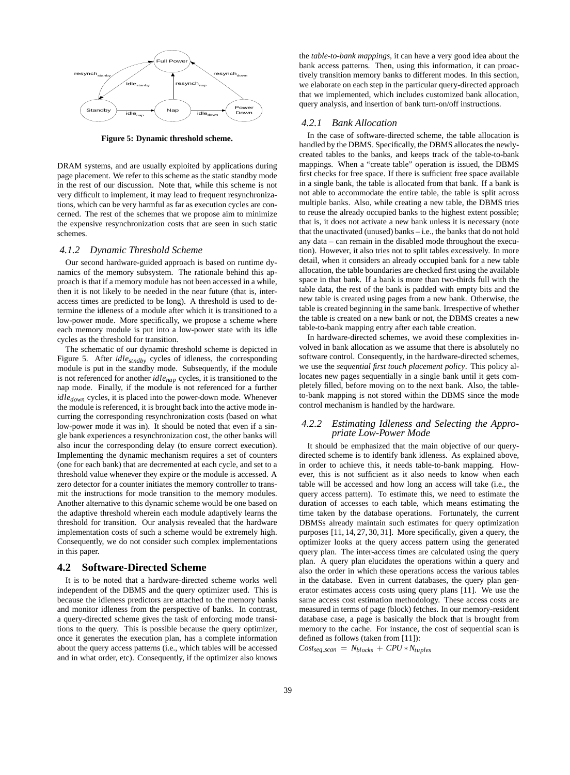

**Figure 5: Dynamic threshold scheme.**

DRAM systems, and are usually exploited by applications during page placement. We refer to this scheme as the static standby mode in the rest of our discussion. Note that, while this scheme is not very difficult to implement, it may lead to frequent resynchronizations, which can be very harmful as far as execution cycles are concerned. The rest of the schemes that we propose aim to minimize the expensive resynchronization costs that are seen in such static schemes.

#### *4.1.2 Dynamic Threshold Scheme*

Our second hardware-guided approach is based on runtime dynamics of the memory subsystem. The rationale behind this approach is that if a memory module has not been accessed in a while, then it is not likely to be needed in the near future (that is, interaccess times are predicted to be long). A threshold is used to determine the idleness of a module after which it is transitioned to a low-power mode. More specifically, we propose a scheme where each memory module is put into a low-power state with its idle cycles as the threshold for transition.

The schematic of our dynamic threshold scheme is depicted in Figure 5. After *idlestndby* cycles of idleness, the corresponding module is put in the standby mode. Subsequently, if the module is not referenced for another *idlenap* cycles, it is transitioned to the nap mode. Finally, if the module is not referenced for a further *idledown* cycles, it is placed into the power-down mode. Whenever the module is referenced, it is brought back into the active mode incurring the corresponding resynchronization costs (based on what low-power mode it was in). It should be noted that even if a single bank experiences a resynchronization cost, the other banks will also incur the corresponding delay (to ensure correct execution). Implementing the dynamic mechanism requires a set of counters (one for each bank) that are decremented at each cycle, and set to a threshold value whenever they expire or the module is accessed. A zero detector for a counter initiates the memory controller to transmit the instructions for mode transition to the memory modules. Another alternative to this dynamic scheme would be one based on the adaptive threshold wherein each module adaptively learns the threshold for transition. Our analysis revealed that the hardware implementation costs of such a scheme would be extremely high. Consequently, we do not consider such complex implementations in this paper.

#### **4.2 Software-Directed Scheme**

It is to be noted that a hardware-directed scheme works well independent of the DBMS and the query optimizer used. This is because the idleness predictors are attached to the memory banks and monitor idleness from the perspective of banks. In contrast, a query-directed scheme gives the task of enforcing mode transitions to the query. This is possible because the query optimizer, once it generates the execution plan, has a complete information about the query access patterns (i.e., which tables will be accessed and in what order, etc). Consequently, if the optimizer also knows the *table-to-bank mappings,* it can have a very good idea about the bank access patterns. Then, using this information, it can proactively transition memory banks to different modes. In this section, we elaborate on each step in the particular query-directed approach that we implemented, which includes customized bank allocation, query analysis, and insertion of bank turn-on/off instructions.

#### *4.2.1 Bank Allocation*

In the case of software-directed scheme, the table allocation is handled by the DBMS. Specifically, the DBMS allocates the newlycreated tables to the banks, and keeps track of the table-to-bank mappings. When a "create table" operation is issued, the DBMS first checks for free space. If there is sufficient free space available in a single bank, the table is allocated from that bank. If a bank is not able to accommodate the entire table, the table is split across multiple banks. Also, while creating a new table, the DBMS tries to reuse the already occupied banks to the highest extent possible; that is, it does not activate a new bank unless it is necessary (note that the unactivated (unused) banks  $-$  i.e., the banks that do not hold any data – can remain in the disabled mode throughout the execution). However, it also tries not to split tables excessively. In more detail, when it considers an already occupied bank for a new table allocation, the table boundaries are checked first using the available space in that bank. If a bank is more than two-thirds full with the table data, the rest of the bank is padded with empty bits and the new table is created using pages from a new bank. Otherwise, the table is created beginning in the same bank. Irrespective of whether the table is created on a new bank or not, the DBMS creates a new table-to-bank mapping entry after each table creation.

In hardware-directed schemes, we avoid these complexities involved in bank allocation as we assume that there is absolutely no software control. Consequently, in the hardware-directed schemes, we use the *sequential first touch placement policy*. This policy allocates new pages sequentially in a single bank until it gets completely filled, before moving on to the next bank. Also, the tableto-bank mapping is not stored within the DBMS since the mode control mechanism is handled by the hardware.

#### *4.2.2 Estimating Idleness and Selecting the Appropriate Low-Power Mode*

It should be emphasized that the main objective of our querydirected scheme is to identify bank idleness. As explained above, in order to achieve this, it needs table-to-bank mapping. However, this is not sufficient as it also needs to know when each table will be accessed and how long an access will take (i.e., the query access pattern). To estimate this, we need to estimate the duration of accesses to each table, which means estimating the time taken by the database operations. Fortunately, the current DBMSs already maintain such estimates for query optimization purposes [11, 14, 27, 30, 31]. More specifically, given a query, the optimizer looks at the query access pattern using the generated query plan. The inter-access times are calculated using the query plan. A query plan elucidates the operations within a query and also the order in which these operations access the various tables in the database. Even in current databases, the query plan generator estimates access costs using query plans [11]. We use the same access cost estimation methodology. These access costs are measured in terms of page (block) fetches. In our memory-resident database case, a page is basically the block that is brought from memory to the cache. For instance, the cost of sequential scan is defined as follows (taken from [11]):

 $Cost_{seq\_scan} = N_{blocks} + CPU * N_{tuples}$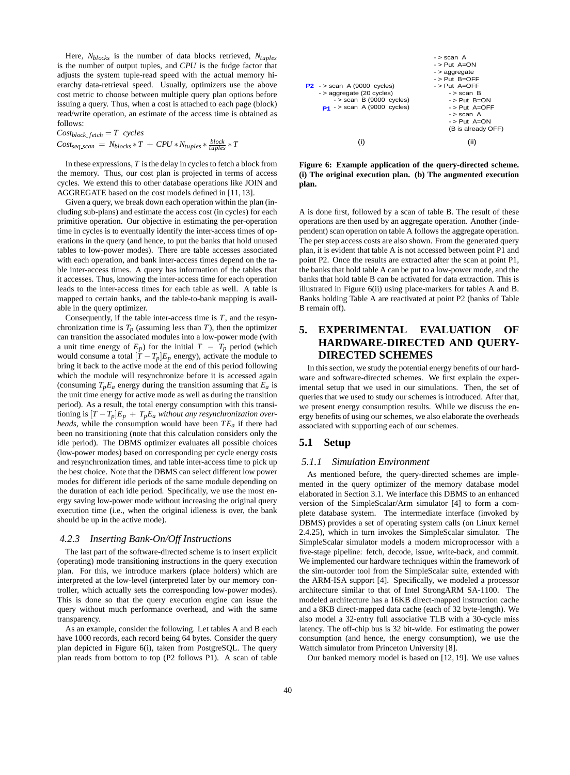Here, *Nblocks* is the number of data blocks retrieved, *Ntuples* is the number of output tuples, and *CPU* is the fudge factor that adjusts the system tuple-read speed with the actual memory hierarchy data-retrieval speed. Usually, optimizers use the above cost metric to choose between multiple query plan options before issuing a query. Thus, when a cost is attached to each page (block) read/write operation, an estimate of the access time is obtained as follows:

 $Cost_{block_fetch} = T$  *cycles*  $Cost_{seq\_scan} = N_{blocks} * T + CPU * N_{tuples} * \frac{block}{tuples} * T$ 

In these expressions, *T* is the delay in cycles to fetch a block from the memory. Thus, our cost plan is projected in terms of access cycles. We extend this to other database operations like JOIN and AGGREGATE based on the cost models defined in [11, 13].

Given a query, we break down each operation within the plan (including sub-plans) and estimate the access cost (in cycles) for each primitive operation. Our objective in estimating the per-operation time in cycles is to eventually identify the inter-access times of operations in the query (and hence, to put the banks that hold unused tables to low-power modes). There are table accesses associated with each operation, and bank inter-access times depend on the table inter-access times. A query has information of the tables that it accesses. Thus, knowing the inter-access time for each operation leads to the inter-access times for each table as well. A table is mapped to certain banks, and the table-to-bank mapping is available in the query optimizer.

Consequently, if the table inter-access time is *T*, and the resynchronization time is  $T_p$  (assuming less than  $T$ ), then the optimizer can transition the associated modules into a low-power mode (with a unit time energy of  $E_p$ ) for the initial  $T - T_p$  period (which would consume a total  $[\dot{T} - T_p]E_p$  energy), activate the module to bring it back to the active mode at the end of this period following which the module will resynchronize before it is accessed again (consuming  $T_pE_a$  energy during the transition assuming that  $E_a$  is the unit time energy for active mode as well as during the transition period). As a result, the total energy consumption with this transitioning is  $[T - T_p]E_p + T_pE_a$  *without any resynchronization overheads*, while the consumption would have been  $TE_a$  if there had been no transitioning (note that this calculation considers only the idle period). The DBMS optimizer evaluates all possible choices (low-power modes) based on corresponding per cycle energy costs and resynchronization times, and table inter-access time to pick up the best choice. Note that the DBMS can select different low power modes for different idle periods of the same module depending on the duration of each idle period. Specifically, we use the most energy saving low-power mode without increasing the original query execution time (i.e., when the original idleness is over, the bank should be up in the active mode).

#### *4.2.3 Inserting Bank-On/Off Instructions*

The last part of the software-directed scheme is to insert explicit (operating) mode transitioning instructions in the query execution plan. For this, we introduce markers (place holders) which are interpreted at the low-level (interpreted later by our memory controller, which actually sets the corresponding low-power modes). This is done so that the query execution engine can issue the query without much performance overhead, and with the same transparency.

As an example, consider the following. Let tables A and B each have 1000 records, each record being 64 bytes. Consider the query plan depicted in Figure 6(i), taken from PostgreSQL. The query plan reads from bottom to top (P2 follows P1). A scan of table



**Figure 6: Example application of the query-directed scheme. (i) The original execution plan. (b) The augmented execution plan.**

A is done first, followed by a scan of table B. The result of these operations are then used by an aggregate operation. Another (independent) scan operation on table A follows the aggregate operation. The per step access costs are also shown. From the generated query plan, it is evident that table A is not accessed between point P1 and point P2. Once the results are extracted after the scan at point P1, the banks that hold table A can be put to a low-power mode, and the banks that hold table B can be activated for data extraction. This is illustrated in Figure 6(ii) using place-markers for tables A and B. Banks holding Table A are reactivated at point P2 (banks of Table B remain off).

# **5. EXPERIMENTAL EVALUATION OF HARDWARE-DIRECTED AND QUERY-DIRECTED SCHEMES**

In this section, we study the potential energy benefits of our hardware and software-directed schemes. We first explain the experimental setup that we used in our simulations. Then, the set of queries that we used to study our schemes is introduced. After that, we present energy consumption results. While we discuss the energy benefits of using our schemes, we also elaborate the overheads associated with supporting each of our schemes.

#### **5.1 Setup**

#### *5.1.1 Simulation Environment*

As mentioned before, the query-directed schemes are implemented in the query optimizer of the memory database model elaborated in Section 3.1. We interface this DBMS to an enhanced version of the SimpleScalar/Arm simulator [4] to form a complete database system. The intermediate interface (invoked by DBMS) provides a set of operating system calls (on Linux kernel 2.4.25), which in turn invokes the SimpleScalar simulator. The SimpleScalar simulator models a modern microprocessor with a five-stage pipeline: fetch, decode, issue, write-back, and commit. We implemented our hardware techniques within the framework of the sim-outorder tool from the SimpleScalar suite, extended with the ARM-ISA support [4]. Specifically, we modeled a processor architecture similar to that of Intel StrongARM SA-1100. The modeled architecture has a 16KB direct-mapped instruction cache and a 8KB direct-mapped data cache (each of 32 byte-length). We also model a 32-entry full associative TLB with a 30-cycle miss latency. The off-chip bus is 32 bit-wide. For estimating the power consumption (and hence, the energy consumption), we use the Wattch simulator from Princeton University [8].

Our banked memory model is based on [12, 19]. We use values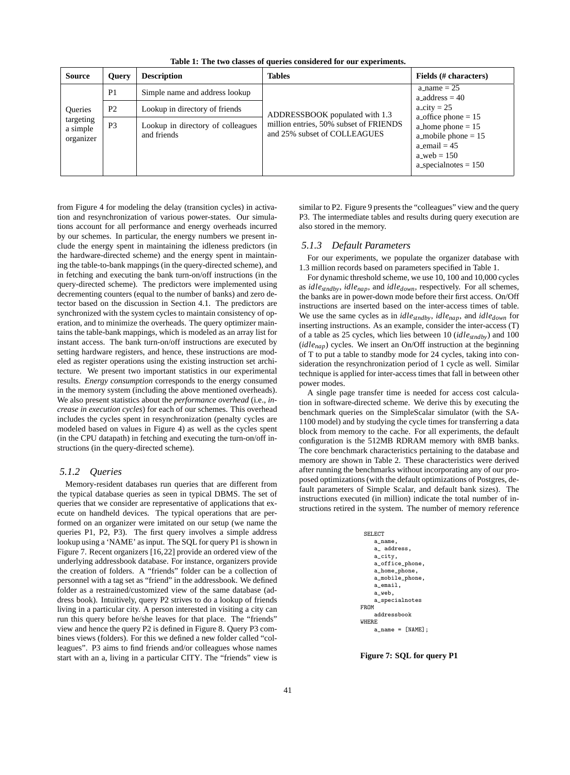**Table 1: The two classes of queries considered for our experiments.**

| Source                                               | <b>Query</b>   | <b>Description</b>                               | <b>Tables</b>                                                                                            | Fields (# characters)                                                                                                   |
|------------------------------------------------------|----------------|--------------------------------------------------|----------------------------------------------------------------------------------------------------------|-------------------------------------------------------------------------------------------------------------------------|
| <b>Oueries</b><br>targeting<br>a simple<br>organizer | P <sub>1</sub> | Simple name and address lookup                   | ADDRESSBOOK populated with 1.3<br>million entries, 50% subset of FRIENDS<br>and 25% subset of COLLEAGUES | a_name = $25$<br>a_address $= 40$<br>$\text{a\_city} = 25$<br>a office phone $= 15$                                     |
|                                                      | P <sub>2</sub> | Lookup in directory of friends                   |                                                                                                          |                                                                                                                         |
|                                                      | P <sub>3</sub> | Lookup in directory of colleagues<br>and friends |                                                                                                          | a home phone $= 15$<br>a_mobile phone $= 15$<br>$a$ <sub>e</sub> $mail = 45$<br>$a$ web = 150<br>a_specialnotes $= 150$ |

from Figure 4 for modeling the delay (transition cycles) in activation and resynchronization of various power-states. Our simulations account for all performance and energy overheads incurred by our schemes. In particular, the energy numbers we present include the energy spent in maintaining the idleness predictors (in the hardware-directed scheme) and the energy spent in maintaining the table-to-bank mappings (in the query-directed scheme), and in fetching and executing the bank turn-on/off instructions (in the query-directed scheme). The predictors were implemented using decrementing counters (equal to the number of banks) and zero detector based on the discussion in Section 4.1. The predictors are synchronized with the system cycles to maintain consistency of operation, and to minimize the overheads. The query optimizer maintains the table-bank mappings, which is modeled as an array list for instant access. The bank turn-on/off instructions are executed by setting hardware registers, and hence, these instructions are modeled as register operations using the existing instruction set architecture. We present two important statistics in our experimental results. *Energy consumption* corresponds to the energy consumed in the memory system (including the above mentioned overheads). We also present statistics about the *performance overhead* (i.e., *increase in execution cycles*) for each of our schemes. This overhead includes the cycles spent in resynchronization (penalty cycles are modeled based on values in Figure 4) as well as the cycles spent (in the CPU datapath) in fetching and executing the turn-on/off instructions (in the query-directed scheme).

#### *5.1.2 Queries*

Memory-resident databases run queries that are different from the typical database queries as seen in typical DBMS. The set of queries that we consider are representative of applications that execute on handheld devices. The typical operations that are performed on an organizer were imitated on our setup (we name the queries P1, P2, P3). The first query involves a simple address lookup using a 'NAME' as input. The SQL for query P1 is shown in Figure 7. Recent organizers [16,22] provide an ordered view of the underlying addressbook database. For instance, organizers provide the creation of folders. A "friends" folder can be a collection of personnel with a tag set as "friend" in the addressbook. We defined folder as a restrained/customized view of the same database (address book). Intuitively, query P2 strives to do a lookup of friends living in a particular city. A person interested in visiting a city can run this query before he/she leaves for that place. The "friends" view and hence the query P2 is defined in Figure 8. Query P3 combines views (folders). For this we defined a new folder called "colleagues". P3 aims to find friends and/or colleagues whose names start with an a, living in a particular CITY. The "friends" view is similar to P2. Figure 9 presents the "colleagues" view and the query P3. The intermediate tables and results during query execution are also stored in the memory.

#### *5.1.3 Default Parameters*

For our experiments, we populate the organizer database with 1.3 million records based on parameters specified in Table 1.

For dynamic threshold scheme, we use 10, 100 and 10,000 cycles as *idlestndby*, *idlenap*, and *idledown*, respectively. For all schemes, the banks are in power-down mode before their first access. On/Off instructions are inserted based on the inter-access times of table. We use the same cycles as in *idlestndby*, *idlenap*, and *idledown* for inserting instructions. As an example, consider the inter-access (T) of a table as 25 cycles, which lies between 10 (*idlestndby*) and 100 (*idlenap*) cycles. We insert an On/Off instruction at the beginning of T to put a table to standby mode for 24 cycles, taking into consideration the resynchronization period of 1 cycle as well. Similar technique is applied for inter-access times that fall in between other power modes.

A single page transfer time is needed for access cost calculation in software-directed scheme. We derive this by executing the benchmark queries on the SimpleScalar simulator (with the SA-1100 model) and by studying the cycle times for transferring a data block from memory to the cache. For all experiments, the default configuration is the 512MB RDRAM memory with 8MB banks. The core benchmark characteristics pertaining to the database and memory are shown in Table 2. These characteristics were derived after running the benchmarks without incorporating any of our proposed optimizations (with the default optimizations of Postgres, default parameters of Simple Scalar, and default bank sizes). The instructions executed (in million) indicate the total number of instructions retired in the system. The number of memory reference

```
SELECT
    a_name,
    a_ address,
    a_city,
    a_office_phone,
    a_home_phone,
    a_mobile_phone,
    a_email,
    a_web,
    a_specialnotes
FROM
    addressbook
WHERE
    a_name = [NAME];
```
**Figure 7: SQL for query P1**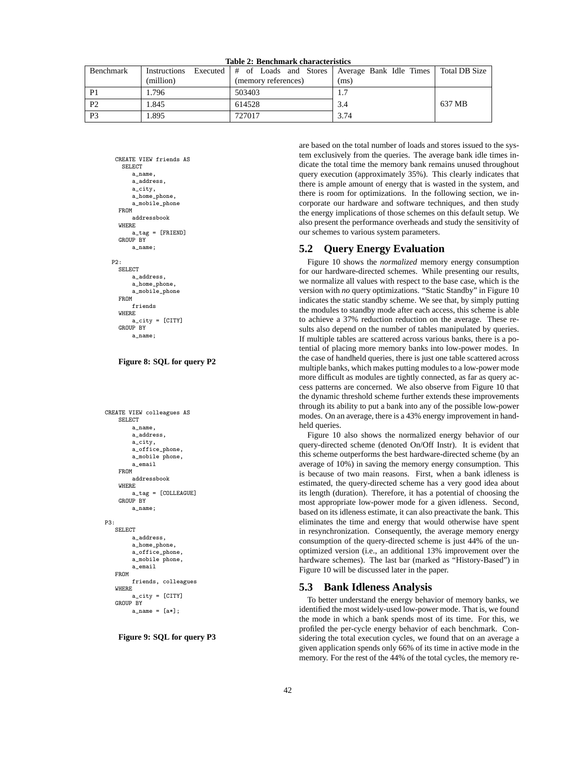| Benchmark      |           |                     | Instructions Executed   # of Loads and Stores   Average Bank Idle Times   Total DB Size |        |
|----------------|-----------|---------------------|-----------------------------------------------------------------------------------------|--------|
|                | (million) | (memory references) | (ms)                                                                                    |        |
| P <sub>1</sub> | 1.796     | 503403              | 1.7                                                                                     |        |
| P <sub>2</sub> | 1.845     | 614528              | 3.4                                                                                     | 637 MB |
| P <sub>3</sub> | 1.895     | 727017              | 3.74                                                                                    |        |

**Table 2: Benchmark characteristics**

```
CREATE VIEW friends AS
   SELECT
      a_name,
      a_address,
      a city.
      a_home_phone.
      a mobile phone
  FROM
      addressbook
  WHERE
      a_tag = [FRIEND]
  GROUP BY
      a_name;
P2:
  SELECT
      a_address,
      a home phone
      a_mobile_phone
 FROM
```

```
friends
WHERE
    a_city = [CITY]
GROUP BY
    a_name;
```
**Figure 8: SQL for query P2**

```
CREATE VIEW colleagues AS
    SELECT
        a_name,
        a_address,
        a_city,
        a_office_phone,
        a_mobile phone,
        a_email
    FROM
        addressbook
    WHERE
        a_tag = [COLLEAGUE]
    GROUP BY
        a_name;
P3:
   SELECT
        a_address,
        a_home_phone,
        a_office_phone,
        a_mobile phone,
        a_email
   FROM
        friends, colleagues
   WHERE
        a_city = [CITY]
   GROUP BY
        a_name = [a*]:
```
**Figure 9: SQL for query P3**

are based on the total number of loads and stores issued to the system exclusively from the queries. The average bank idle times indicate the total time the memory bank remains unused throughout query execution (approximately 35%). This clearly indicates that there is ample amount of energy that is wasted in the system, and there is room for optimizations. In the following section, we incorporate our hardware and software techniques, and then study the energy implications of those schemes on this default setup. We also present the performance overheads and study the sensitivity of our schemes to various system parameters.

## **5.2 Query Energy Evaluation**

Figure 10 shows the *normalized* memory energy consumption for our hardware-directed schemes. While presenting our results, we normalize all values with respect to the base case, which is the version with *no* query optimizations. "Static Standby" in Figure 10 indicates the static standby scheme. We see that, by simply putting the modules to standby mode after each access, this scheme is able to achieve a 37% reduction reduction on the average. These results also depend on the number of tables manipulated by queries. If multiple tables are scattered across various banks, there is a potential of placing more memory banks into low-power modes. In the case of handheld queries, there is just one table scattered across multiple banks, which makes putting modules to a low-power mode more difficult as modules are tightly connected, as far as query access patterns are concerned. We also observe from Figure 10 that the dynamic threshold scheme further extends these improvements through its ability to put a bank into any of the possible low-power modes. On an average, there is a 43% energy improvement in handheld queries.

Figure 10 also shows the normalized energy behavior of our query-directed scheme (denoted On/Off Instr). It is evident that this scheme outperforms the best hardware-directed scheme (by an average of 10%) in saving the memory energy consumption. This is because of two main reasons. First, when a bank idleness is estimated, the query-directed scheme has a very good idea about its length (duration). Therefore, it has a potential of choosing the most appropriate low-power mode for a given idleness. Second, based on its idleness estimate, it can also preactivate the bank. This eliminates the time and energy that would otherwise have spent in resynchronization. Consequently, the average memory energy consumption of the query-directed scheme is just 44% of the unoptimized version (i.e., an additional 13% improvement over the hardware schemes). The last bar (marked as "History-Based") in Figure 10 will be discussed later in the paper.

#### **5.3 Bank Idleness Analysis**

To better understand the energy behavior of memory banks, we identified the most widely-used low-power mode. That is, we found the mode in which a bank spends most of its time. For this, we profiled the per-cycle energy behavior of each benchmark. Considering the total execution cycles, we found that on an average a given application spends only 66% of its time in active mode in the memory. For the rest of the 44% of the total cycles, the memory re-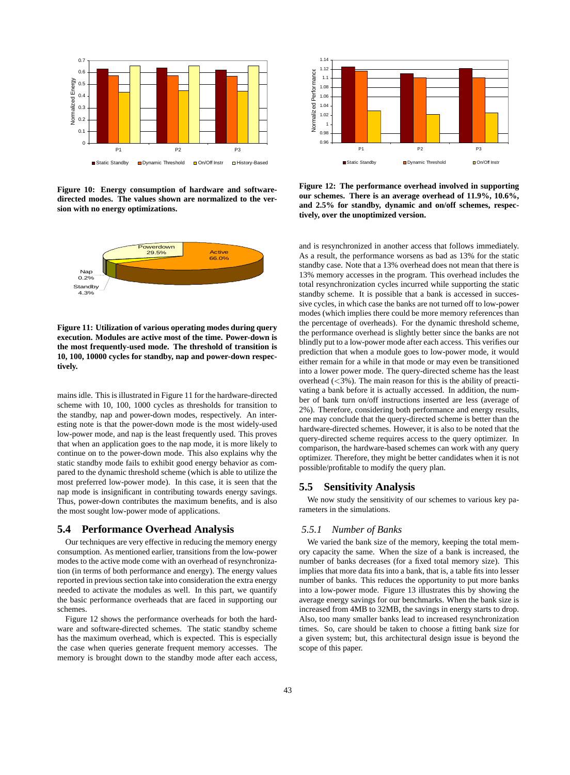

**Figure 10: Energy consumption of hardware and softwaredirected modes. The values shown are normalized to the version with no energy optimizations.**



**Figure 11: Utilization of various operating modes during query execution. Modules are active most of the time. Power-down is the most frequently-used mode. The threshold of transition is 10, 100, 10000 cycles for standby, nap and power-down respectively.**

mains idle. This is illustrated in Figure 11 for the hardware-directed scheme with 10, 100, 1000 cycles as thresholds for transition to the standby, nap and power-down modes, respectively. An interesting note is that the power-down mode is the most widely-used low-power mode, and nap is the least frequently used. This proves that when an application goes to the nap mode, it is more likely to continue on to the power-down mode. This also explains why the static standby mode fails to exhibit good energy behavior as compared to the dynamic threshold scheme (which is able to utilize the most preferred low-power mode). In this case, it is seen that the nap mode is insignificant in contributing towards energy savings. Thus, power-down contributes the maximum benefits, and is also the most sought low-power mode of applications.

## **5.4 Performance Overhead Analysis**

Our techniques are very effective in reducing the memory energy consumption. As mentioned earlier, transitions from the low-power modes to the active mode come with an overhead of resynchronization (in terms of both performance and energy). The energy values reported in previous section take into consideration the extra energy needed to activate the modules as well. In this part, we quantify the basic performance overheads that are faced in supporting our schemes.

Figure 12 shows the performance overheads for both the hardware and software-directed schemes. The static standby scheme has the maximum overhead, which is expected. This is especially the case when queries generate frequent memory accesses. The memory is brought down to the standby mode after each access,



**Figure 12: The performance overhead involved in supporting our schemes. There is an average overhead of 11.9%, 10.6%, and 2.5% for standby, dynamic and on/off schemes, respectively, over the unoptimized version.**

and is resynchronized in another access that follows immediately. As a result, the performance worsens as bad as 13% for the static standby case. Note that a 13% overhead does not mean that there is 13% memory accesses in the program. This overhead includes the total resynchronization cycles incurred while supporting the static standby scheme. It is possible that a bank is accessed in successive cycles, in which case the banks are not turned off to low-power modes (which implies there could be more memory references than the percentage of overheads). For the dynamic threshold scheme, the performance overhead is slightly better since the banks are not blindly put to a low-power mode after each access. This verifies our prediction that when a module goes to low-power mode, it would either remain for a while in that mode or may even be transitioned into a lower power mode. The query-directed scheme has the least overhead  $\left(\langle 3\% \rangle \right)$ . The main reason for this is the ability of preactivating a bank before it is actually accessed. In addition, the number of bank turn on/off instructions inserted are less (average of 2%). Therefore, considering both performance and energy results, one may conclude that the query-directed scheme is better than the hardware-directed schemes. However, it is also to be noted that the query-directed scheme requires access to the query optimizer. In comparison, the hardware-based schemes can work with any query optimizer. Therefore, they might be better candidates when it is not possible/profitable to modify the query plan.

#### **5.5 Sensitivity Analysis**

We now study the sensitivity of our schemes to various key parameters in the simulations.

#### *5.5.1 Number of Banks*

We varied the bank size of the memory, keeping the total memory capacity the same. When the size of a bank is increased, the number of banks decreases (for a fixed total memory size). This implies that more data fits into a bank, that is, a table fits into lesser number of banks. This reduces the opportunity to put more banks into a low-power mode. Figure 13 illustrates this by showing the average energy savings for our benchmarks. When the bank size is increased from 4MB to 32MB, the savings in energy starts to drop. Also, too many smaller banks lead to increased resynchronization times. So, care should be taken to choose a fitting bank size for a given system; but, this architectural design issue is beyond the scope of this paper.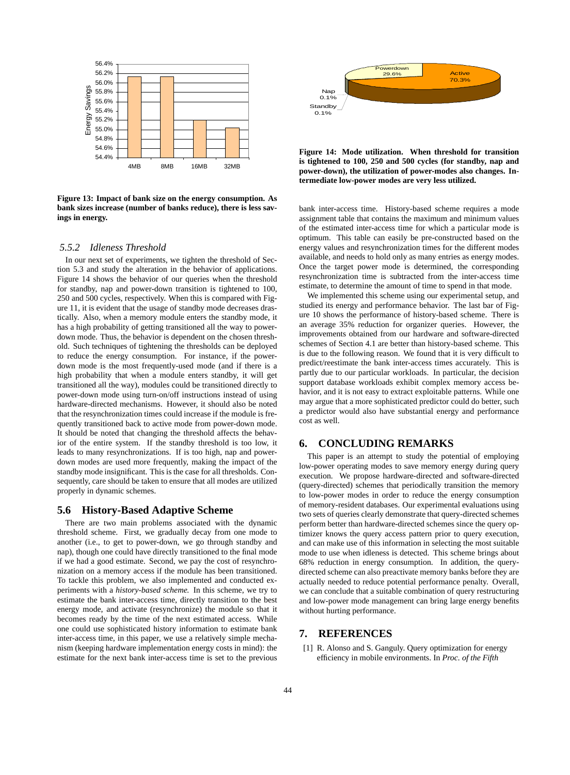

**Figure 13: Impact of bank size on the energy consumption. As bank sizes increase (number of banks reduce), there is less savings in energy.**

#### *5.5.2 Idleness Threshold*

In our next set of experiments, we tighten the threshold of Section 5.3 and study the alteration in the behavior of applications. Figure 14 shows the behavior of our queries when the threshold for standby, nap and power-down transition is tightened to 100, 250 and 500 cycles, respectively. When this is compared with Figure 11, it is evident that the usage of standby mode decreases drastically. Also, when a memory module enters the standby mode, it has a high probability of getting transitioned all the way to powerdown mode. Thus, the behavior is dependent on the chosen threshold. Such techniques of tightening the thresholds can be deployed to reduce the energy consumption. For instance, if the powerdown mode is the most frequently-used mode (and if there is a high probability that when a module enters standby, it will get transitioned all the way), modules could be transitioned directly to power-down mode using turn-on/off instructions instead of using hardware-directed mechanisms. However, it should also be noted that the resynchronization times could increase if the module is frequently transitioned back to active mode from power-down mode. It should be noted that changing the threshold affects the behavior of the entire system. If the standby threshold is too low, it leads to many resynchronizations. If is too high, nap and powerdown modes are used more frequently, making the impact of the standby mode insignificant. This is the case for all thresholds. Consequently, care should be taken to ensure that all modes are utilized properly in dynamic schemes.

#### **5.6 History-Based Adaptive Scheme**

There are two main problems associated with the dynamic threshold scheme. First, we gradually decay from one mode to another (i.e., to get to power-down, we go through standby and nap), though one could have directly transitioned to the final mode if we had a good estimate. Second, we pay the cost of resynchronization on a memory access if the module has been transitioned. To tackle this problem, we also implemented and conducted experiments with a *history-based scheme.* In this scheme, we try to estimate the bank inter-access time, directly transition to the best energy mode, and activate (resynchronize) the module so that it becomes ready by the time of the next estimated access. While one could use sophisticated history information to estimate bank inter-access time, in this paper, we use a relatively simple mechanism (keeping hardware implementation energy costs in mind): the estimate for the next bank inter-access time is set to the previous



**Figure 14: Mode utilization. When threshold for transition is tightened to 100, 250 and 500 cycles (for standby, nap and power-down), the utilization of power-modes also changes. Intermediate low-power modes are very less utilized.**

bank inter-access time. History-based scheme requires a mode assignment table that contains the maximum and minimum values of the estimated inter-access time for which a particular mode is optimum. This table can easily be pre-constructed based on the energy values and resynchronization times for the different modes available, and needs to hold only as many entries as energy modes. Once the target power mode is determined, the corresponding resynchronization time is subtracted from the inter-access time estimate, to determine the amount of time to spend in that mode.

We implemented this scheme using our experimental setup, and studied its energy and performance behavior. The last bar of Figure 10 shows the performance of history-based scheme. There is an average 35% reduction for organizer queries. However, the improvements obtained from our hardware and software-directed schemes of Section 4.1 are better than history-based scheme. This is due to the following reason. We found that it is very difficult to predict/reestimate the bank inter-access times accurately. This is partly due to our particular workloads. In particular, the decision support database workloads exhibit complex memory access behavior, and it is not easy to extract exploitable patterns. While one may argue that a more sophisticated predictor could do better, such a predictor would also have substantial energy and performance cost as well.

# **6. CONCLUDING REMARKS**

This paper is an attempt to study the potential of employing low-power operating modes to save memory energy during query execution. We propose hardware-directed and software-directed (query-directed) schemes that periodically transition the memory to low-power modes in order to reduce the energy consumption of memory-resident databases. Our experimental evaluations using two sets of queries clearly demonstrate that query-directed schemes perform better than hardware-directed schemes since the query optimizer knows the query access pattern prior to query execution, and can make use of this information in selecting the most suitable mode to use when idleness is detected. This scheme brings about 68% reduction in energy consumption. In addition, the querydirected scheme can also preactivate memory banks before they are actually needed to reduce potential performance penalty. Overall, we can conclude that a suitable combination of query restructuring and low-power mode management can bring large energy benefits without hurting performance.

# **7. REFERENCES**

[1] R. Alonso and S. Ganguly. Query optimization for energy efficiency in mobile environments. In *Proc. of the Fifth*